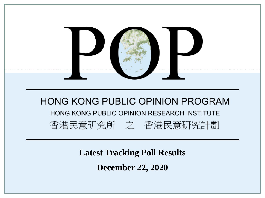

**Latest Tracking Poll Results**

**December 22, 2020**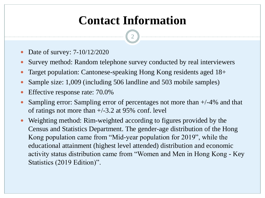# **Contact Information**

2

- Date of survey: 7-10/12/2020
- Survey method: Random telephone survey conducted by real interviewers
- Target population: Cantonese-speaking Hong Kong residents aged 18+
- Sample size: 1,009 (including 506 landline and 503 mobile samples)
- Effective response rate: 70.0%
- Sampling error: Sampling error of percentages not more than +/-4% and that of ratings not more than  $+/-3.2$  at 95% conf. level
- Weighting method: Rim-weighted according to figures provided by the Census and Statistics Department. The gender-age distribution of the Hong Kong population came from "Mid-year population for 2019", while the educational attainment (highest level attended) distribution and economic activity status distribution came from "Women and Men in Hong Kong - Key Statistics (2019 Edition)".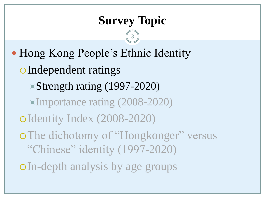3

• Hong Kong People's Ethnic Identity Independent ratings Strength rating (1997-2020) Importance rating (2008-2020) Identity Index (2008-2020) o The dichotomy of "Hongkonger" versus "Chinese" identity (1997-2020) In-depth analysis by age groups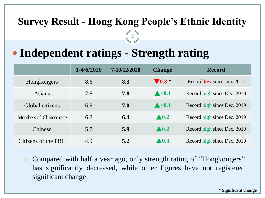4

# **Independent ratings - Strength rating**

|                         | $1 - 4/6/2020$ | 7-10/12/2020 | <b>Change</b>        | <b>Record</b>               |  |  |  |  |
|-------------------------|----------------|--------------|----------------------|-----------------------------|--|--|--|--|
| Hongkongers             | 8.6            | 8.3          | $\nabla$ 0.3 $*$     | Record low since Jun. 2017  |  |  |  |  |
| Asians                  | 7.8            | 7.8          | $\triangle < 0.1$    | Record high since Dec. 2018 |  |  |  |  |
| Global citizens         | 6.9            | 7.0          | $\triangle < 0.1$    | Record high since Dec. 2019 |  |  |  |  |
| Members of Chinese race | 6.2            | 6.4          | $\blacktriangle 0.2$ | Record high since Dec. 2019 |  |  |  |  |
| Chinese                 | 5.7            | 5.9          | $\blacktriangle$ 0.2 | Record high since Dec. 2019 |  |  |  |  |
| Citizens of the PRC     | 4.9            | 5.2          | $\blacktriangle$ 0.3 | Record high since Dec. 2019 |  |  |  |  |

 Compared with half a year ago, only strength rating of "Hongkongers" has significantly decreased, while other figures have not registered significant change.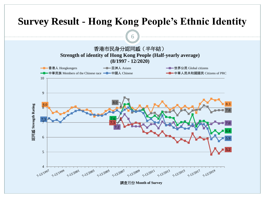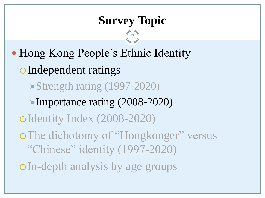7

• Hong Kong People's Ethnic Identity Independent ratings Strength rating (1997-2020) Importance rating (2008-2020) Identity Index (2008-2020) o The dichotomy of "Hongkonger" versus "Chinese" identity (1997-2020) In-depth analysis by age groups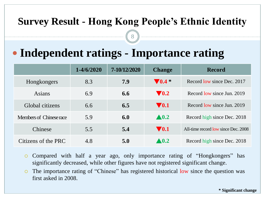8

# **Independent ratings - Importance rating**

|                         | $1 - 4/6/2020$ | 7-10/12/2020 | <b>Change</b>              | <b>Record</b>                       |
|-------------------------|----------------|--------------|----------------------------|-------------------------------------|
| Hongkongers             | 8.3            | 7.9          | $\blacktriangledown 0.4$ * | Record low since Dec. 2017          |
| Asians                  | 6.9            | 6.6          | $\blacktriangledown$ 0.2   | Record low since Jun. 2019          |
| Global citizens         | 6.6            | 6.5          | $\blacktriangledown 0.1$   | Record low since Jun. 2019          |
| Members of Chinese race | 5.9            | 6.0          | $\blacktriangle 0.2$       | Record high since Dec. 2018         |
| Chinese                 | 5.5            | 5.4          | $\nabla 0.1$               | All-time record low since Dec. 2008 |
| Citizens of the PRC     | 4.8            | 5.0          | $\blacktriangle 0.2$       | Record high since Dec. 2018         |

- Compared with half a year ago, only importance rating of "Hongkongers" has significantly decreased, while other figures have not registered significant change.
- The importance rating of "Chinese" has registered historical low since the question was first asked in 2008.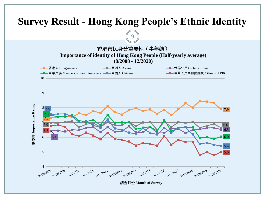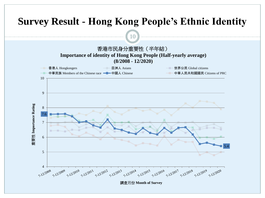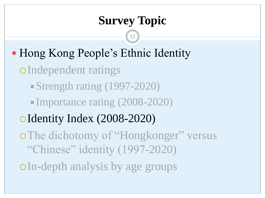11

• Hong Kong People's Ethnic Identity

Independent ratings

Strength rating (1997-2020)

Importance rating (2008-2020)

Identity Index (2008-2020)

o The dichotomy of "Hongkonger" versus "Chinese" identity (1997-2020)

In-depth analysis by age groups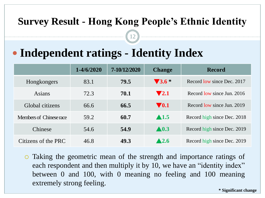12

# **Independent ratings - Identity Index**

|                         | $1 - 4/6/2020$ | 7-10/12/2020 | <b>Change</b>            | <b>Record</b>               |  |  |  |  |  |
|-------------------------|----------------|--------------|--------------------------|-----------------------------|--|--|--|--|--|
| Hongkongers             | 83.1           | 79.5         | $\sqrt{3.6}$ *           | Record low since Dec. 2017  |  |  |  |  |  |
| Asians                  | 72.3           | 70.1         | $\blacktriangledown 2.1$ | Record low since Jun. 2016  |  |  |  |  |  |
| Global citizens         | 66.6           | 66.5         | $\blacktriangledown 0.1$ | Record low since Jun. 2019  |  |  |  |  |  |
| Members of Chinese race | 59.2           | 60.7         | $\blacktriangle$ 1.5     | Record high since Dec. 2018 |  |  |  |  |  |
| Chinese                 | 54.6           | 54.9         | $\blacktriangle$ 0.3     | Record high since Dec. 2019 |  |  |  |  |  |
| Citizens of the PRC     | 46.8           | 49.3         | $\blacktriangle$ 2.6     | Record high since Dec. 2019 |  |  |  |  |  |

 Taking the geometric mean of the strength and importance ratings of each respondent and then multiply it by 10, we have an "identity index" between 0 and 100, with 0 meaning no feeling and 100 meaning extremely strong feeling.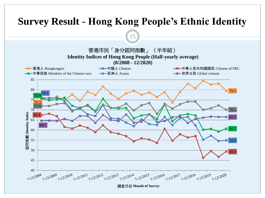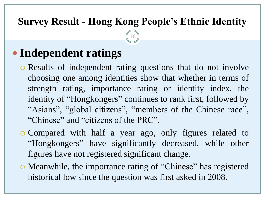16

# **Independent ratings**

- Results of independent rating questions that do not involve choosing one among identities show that whether in terms of strength rating, importance rating or identity index, the identity of "Hongkongers" continues to rank first, followed by "Asians", "global citizens", "members of the Chinese race", "Chinese" and "citizens of the PRC".
- Compared with half a year ago, only figures related to "Hongkongers" have significantly decreased, while other figures have not registered significant change.
- Meanwhile, the importance rating of "Chinese" has registered historical low since the question was first asked in 2008.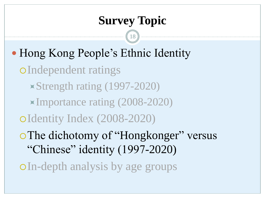18

• Hong Kong People's Ethnic Identity Independent ratings Strength rating (1997-2020) Importance rating (2008-2020) Identity Index (2008-2020) The dichotomy of "Hongkonger" versus "Chinese" identity (1997-2020)

In-depth analysis by age groups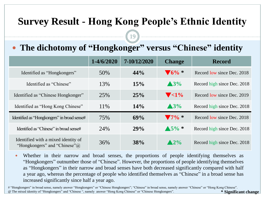19

#### **The dichotomy of "Hongkonger" versus "Chinese" identity**

|                                                                             | $1 - 4/6/2020$ | 7-10/12/2020 | <b>Change</b>              | <b>Record</b>               |
|-----------------------------------------------------------------------------|----------------|--------------|----------------------------|-----------------------------|
| Identified as "Hongkongers"                                                 | 50%            | 44%          | $\blacktriangledown_6\%$ * | Record low since Dec. 2018  |
| Identified as "Chinese"                                                     | 13%            | 15%          | $\triangle 3\%$            | Record high since Dec. 2018 |
| Identified as "Chinese Hongkonger"                                          | 25%            | 25%          | $\blacktriangledown$ <1%   | Record low since Dec. 2019  |
| Identified as "Hong Kong Chinese"                                           | 11\%           | 14%          | $\triangle 3\%$            | Record high since Dec. 2018 |
| Identified as "Hongkongers" in broad sense#                                 | 75%            | 69%          | $\blacktriangledown$ 7% *  | Record low since Dec. 2018  |
| Identified as "Chinese" in broad sense#                                     | 24%            | 29%          | $\triangle 5\% *$          | Record high since Dec. 2018 |
| Identified with a mixed identity of<br>"Hongkongers" and "Chinese" $\omega$ | 36%            | 38%          | $\blacktriangle$ 2%        | Record high since Dec. 2018 |

 Whether in their narrow and broad senses, the proportions of people identifying themselves as "Hongkongers" outnumber those of "Chinese". However, the proportions of people identifying themselves as "Hongkongers" in their narrow and broad senses have both decreased significantly compared with half a year ago, whereas the percentage of people who identified themselves as "Chinese" in a broad sense has increased significantly since half a year ago.

# "Hongkongers" in broad sense, namely answer "Hongkongers" or "Chinese Hongkongers"; "Chinese" in broad sense, namely answer "Chinese" or "Hong Kong Chinese". @ The mixed identity of "Hongkongers" and "Chinese ", namely answer "Hong Kong Chinese" or "Chinese Hongkongers". **\* Significant change**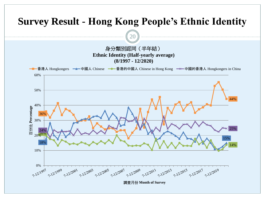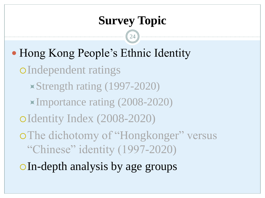24

• Hong Kong People's Ethnic Identity Independent ratings Strength rating (1997-2020) Importance rating (2008-2020)

Identity Index (2008-2020)

o The dichotomy of "Hongkonger" versus "Chinese" identity (1997-2020)

In-depth analysis by age groups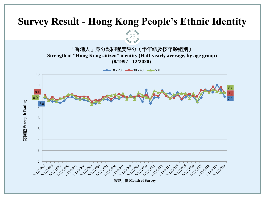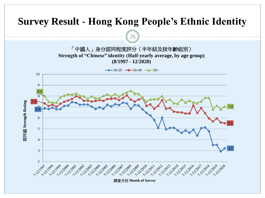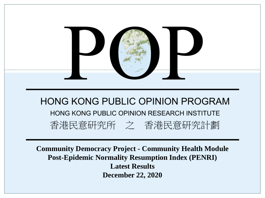

**Community Democracy Project - Community Health Module Post-Epidemic Normality Resumption Index (PENRI) Latest Results December 22, 2020**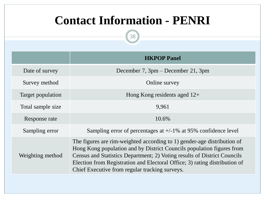# **Contact Information - PENRI**



|                   | <b>HKPOP Panel</b>                                                                                                                                                                                                                                                                                                                                           |
|-------------------|--------------------------------------------------------------------------------------------------------------------------------------------------------------------------------------------------------------------------------------------------------------------------------------------------------------------------------------------------------------|
| Date of survey    | December 7, 3pm – December 21, 3pm                                                                                                                                                                                                                                                                                                                           |
| Survey method     | Online survey                                                                                                                                                                                                                                                                                                                                                |
| Target population | Hong Kong residents aged $12+$                                                                                                                                                                                                                                                                                                                               |
| Total sample size | 9,961                                                                                                                                                                                                                                                                                                                                                        |
| Response rate     | 10.6%                                                                                                                                                                                                                                                                                                                                                        |
| Sampling error    | Sampling error of percentages at $+/-1\%$ at 95% confidence level                                                                                                                                                                                                                                                                                            |
| Weighting method  | The figures are rim-weighted according to 1) gender-age distribution of<br>Hong Kong population and by District Councils population figures from<br>Census and Statistics Department; 2) Voting results of District Councils<br>Election from Registration and Electoral Office; 3) rating distribution of<br>Chief Executive from regular tracking surveys. |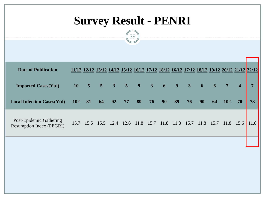# **Survey Result - PENRI**

39

| <b>Date of Publication</b>                                 |                                                                      |    |    |          |         | 11/12 12/12 13/12 14/12 15/12 16/12 17/12 18/12 16/12 17/12 18/12 19/12 20/12 21/12 22/12 |                |                         |    |                |                         |      |
|------------------------------------------------------------|----------------------------------------------------------------------|----|----|----------|---------|-------------------------------------------------------------------------------------------|----------------|-------------------------|----|----------------|-------------------------|------|
| <b>Imported Cases(Ytd)</b>                                 | $10 \quad 5 \quad 5 \quad 3 \quad 5 \quad 9 \quad 3 \quad 6 \quad 9$ |    |    |          |         |                                                                                           | 3 <sup>1</sup> | $\overline{\mathbf{6}}$ | 6  | $\overline{7}$ | $\overline{\mathbf{4}}$ |      |
| <b>Local Infection Cases(Ytd)</b>                          | 102                                                                  | 81 | 64 | 92 77 89 | $76$ 90 | 89                                                                                        | 76             | 90                      | 64 | 102            |                         | 78   |
| Post-Epidemic Gathering<br><b>Resumption Index (PEGRI)</b> |                                                                      |    |    |          |         | 15.7 15.5 15.5 12.4 12.6 11.8 15.7 11.8 11.8 15.7                                         |                | 11.8 15.7               |    | 11.8           | 15.6                    | 11.8 |
|                                                            |                                                                      |    |    |          |         |                                                                                           |                |                         |    |                |                         |      |